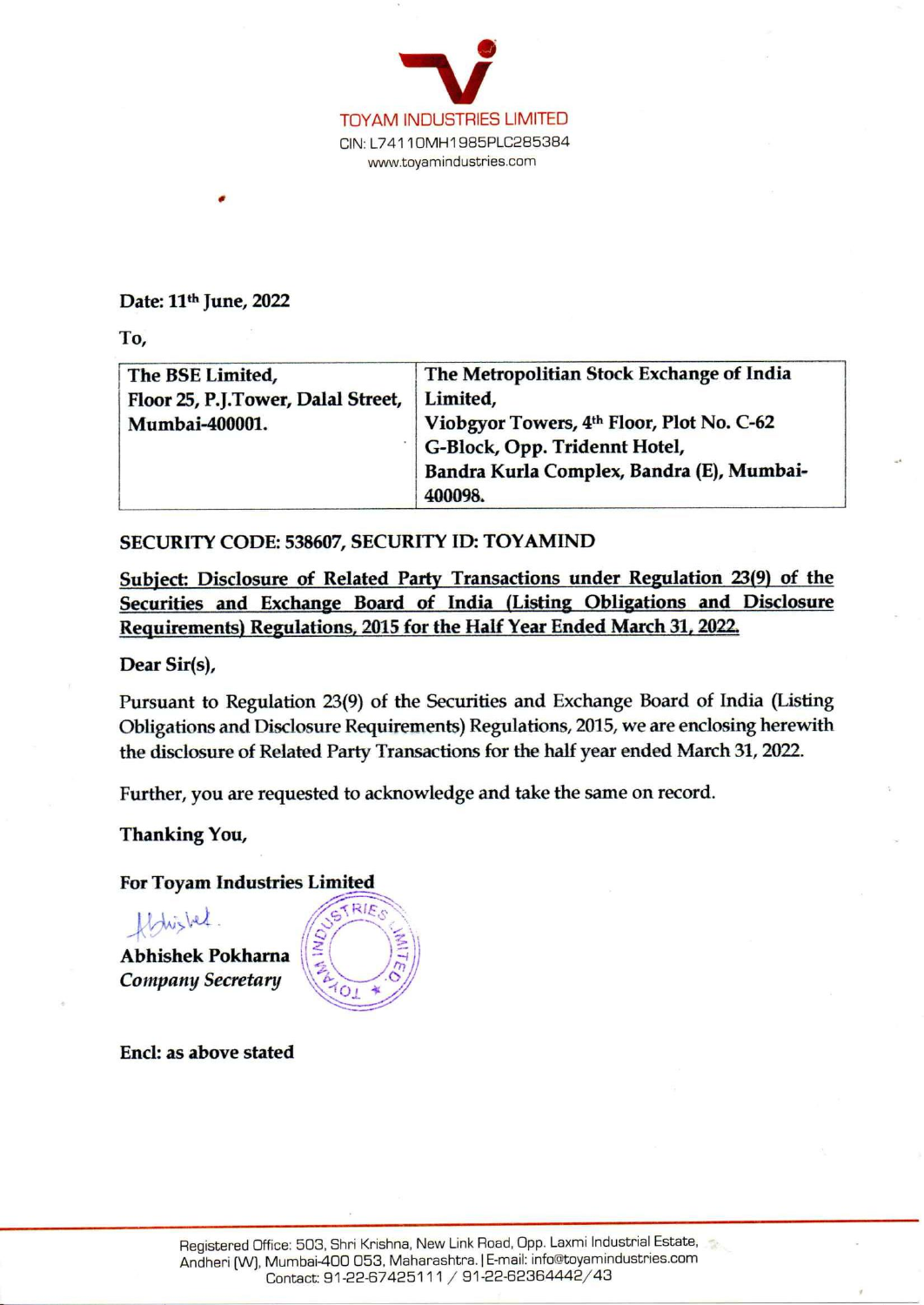

## Date: 11<sup>th</sup> June, 2022

| To,<br>The BSE Limited,                                                                 | The Metropolitian Stock Exchange of India                                                                                                                                                                                                                            |
|-----------------------------------------------------------------------------------------|----------------------------------------------------------------------------------------------------------------------------------------------------------------------------------------------------------------------------------------------------------------------|
| Floor 25, P.J.Tower, Dalal Street,                                                      | Limited,                                                                                                                                                                                                                                                             |
| Mumbai-400001.                                                                          | Viobgyor Towers, 4th Floor, Plot No. C-62                                                                                                                                                                                                                            |
|                                                                                         | G-Block, Opp. Tridennt Hotel,                                                                                                                                                                                                                                        |
|                                                                                         | Bandra Kurla Complex, Bandra (E), Mumbai-<br>400098.                                                                                                                                                                                                                 |
| SECURITY CODE: 538607, SECURITY ID: TOYAMIND                                            |                                                                                                                                                                                                                                                                      |
|                                                                                         | Subject: Disclosure of Related Party Transactions under Regulation 23(9) of the                                                                                                                                                                                      |
|                                                                                         | Securities and Exchange Board of India (Listing Obligations and Disclosure<br>Requirements) Regulations, 2015 for the Half Year Ended March 31, 2022.                                                                                                                |
| Dear Sir(s),                                                                            |                                                                                                                                                                                                                                                                      |
|                                                                                         | Pursuant to Regulation 23(9) of the Securities and Exchange Board of India (Listing<br>Obligations and Disclosure Requirements) Regulations, 2015, we are enclosing herewith<br>the disclosure of Related Party Transactions for the half year ended March 31, 2022. |
|                                                                                         | Further, you are requested to acknowledge and take the same on record.                                                                                                                                                                                               |
| <b>Thanking You,</b>                                                                    |                                                                                                                                                                                                                                                                      |
| <b>For Toyam Industries Limited</b>                                                     |                                                                                                                                                                                                                                                                      |
| RIE.o<br>fldrighed<br>AND AND A<br><b>Abhishek Pokharna</b><br><b>Company Secretary</b> |                                                                                                                                                                                                                                                                      |
| Encl: as above stated                                                                   |                                                                                                                                                                                                                                                                      |
|                                                                                         |                                                                                                                                                                                                                                                                      |
|                                                                                         |                                                                                                                                                                                                                                                                      |
|                                                                                         |                                                                                                                                                                                                                                                                      |
|                                                                                         |                                                                                                                                                                                                                                                                      |

## SECURITY CODE: 538607, SECURITY ID: TOYAMIND

## For Toyam Industries Limited

flohisled.